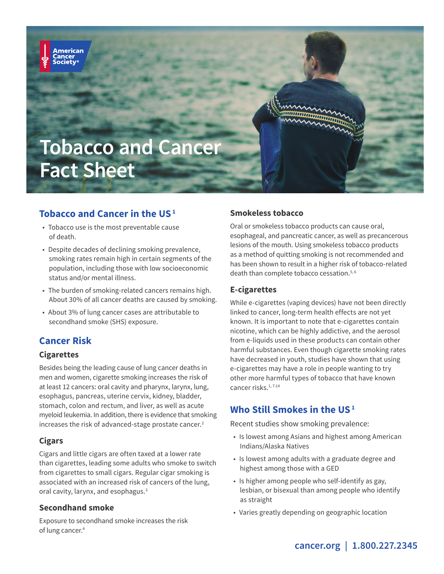

## **Tobacco and Cancer in the US 1**

- Tobacco use is the most preventable cause of death.
- Despite decades of declining smoking prevalence, smoking rates remain high in certain segments of the population, including those with low socioeconomic status and/or mental illness.
- The burden of smoking-related cancers remains high. About 30% of all cancer deaths are caused by smoking.
- About 3% of lung cancer cases are attributable to secondhand smoke (SHS) exposure.

## **Cancer Risk**

merican

### **Cigarettes**

Besides being the leading cause of lung cancer deaths in men and women, cigarette smoking increases the risk of at least 12 cancers: oral cavity and pharynx, larynx, lung, esophagus, pancreas, uterine cervix, kidney, bladder, stomach, colon and rectum, and liver, as well as acute myeloid leukemia. In addition, there is evidence that smoking increases the risk of advanced-stage prostate cancer.<sup>2</sup>

## **Cigars**

Cigars and little cigars are often taxed at a lower rate than cigarettes, leading some adults who smoke to switch from cigarettes to small cigars. Regular cigar smoking is associated with an increased risk of cancers of the lung, oral cavity, larynx, and esophagus.3

### **Secondhand smoke**

Exposure to secondhand smoke increases the risk of lung cancer.4

### **Smokeless tobacco**

Oral or smokeless tobacco products can cause oral, esophageal, and pancreatic cancer, as well as precancerous lesions of the mouth. Using smokeless tobacco products as a method of quitting smoking is not recommended and has been shown to result in a higher risk of tobacco-related death than complete tobacco cessation.<sup>5,6</sup>

### **E-cigarettes**

While e-cigarettes (vaping devices) have not been directly linked to cancer, long-term health effects are not yet known. It is important to note that e-cigarettes contain nicotine, which can be highly addictive, and the aerosol from e-liquids used in these products can contain other harmful substances. Even though cigarette smoking rates have decreased in youth, studies have shown that using e-cigarettes may have a role in people wanting to try other more harmful types of tobacco that have known cancer risks.1, 7-14

# **Who Still Smokes in the US 1**

Recent studies show smoking prevalence:

- Is lowest among Asians and highest among American Indians/Alaska Natives
- Is lowest among adults with a graduate degree and highest among those with a GED
- Is higher among people who self-identify as gay, lesbian, or bisexual than among people who identify as straight
- Varies greatly depending on geographic location